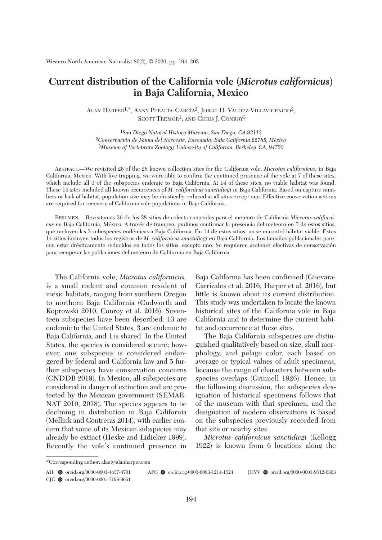# **Current distribution of the California vole (***Microtus californicus***) in Baja California, Mexico**

ALAN HARPER<sup>1,\*</sup>, ANNY PERALTA-GARCÍA<sup>2</sup>, JORGE H. VALDEZ-VILLAVICENCIO<sup>2</sup>, SCOTT TREMOR<sup>1</sup>, AND CHRIS J. CONROY<sup>3</sup>

1*San Diego Natural History Museum, San Diego, CA 92112* 2*Conservación de Fauna del Noroeste, Ensenada, Baja California 22785, México* 3*Museum of Vertebrate Zoology, University of California, Berkeley, CA, 94720*

 ABSTRACT.—We revisited 26 of the 28 known collection sites for the California vole, *Microtus californicus*, in Baja California, Mexico. With live trapping, we were able to confirm the continued presence of the vole at 7 of these sites, which include all 3 of the subspecies endemic to Baja California. At 14 of these sites, no viable habitat was found. These 14 sites included all known occurrences of *M. californicus sanctidiegi* in Baja California. Based on capture numbers or lack of habitat, population size may be drastically reduced at all sites except one. Effective conservation actions are required for recovery of California vole populations in Baja California.

 RESUMEN.—Revisitamos 26 de los 28 sitios de colecta conocidos para el meteoro de California *Microtus californicus* en Baja California, México. A través de trampeo, pudimos confirmar la presencia del meteoro en 7 de estos sitios, que incluyen las 3 subespecies endémicas a Baja California. En 14 de estos sitios, no se encontró hábitat viable. Estos 14 sitios incluyen todos los registros de *M. californicus sanctidiegi* en Baja California. Los tamaños poblacionales parecen estar drésticamente reducidos en todos los sitios, excepto uno. Se requieren acciones efectivas de conservación para recuperar las poblaciones del meteoro de California en Baja California.

 The California vole, *Microtus californicus*, is a small rodent and common resident of mesic habitats, ranging from southern Oregon to northern Baja California (Cudworth and Koprowski 2010, Conroy et al. 2016). Seventeen subspecies have been described: 13 are endemic to the United States, 3 are endemic to Baja California, and 1 is shared. In the United States, the species is considered secure; however, one subspecies is considered endangered by federal and California law and 5 further subspecies have conservation concerns (CNDDB 2019). In Mexico, all subspecies are considered in danger of extinction and are protected by the Mexican government (SEMAR-NAT 2010, 2018). The species appears to be declining in distribution in Baja California (Mellink and Contreras 2014), with earlier concern that some of its Mexican subspecies may already be extinct (Heske and Lidicker 1999). Recently the vole's continued presence in

Baja California has been confirmed (Guevara-Carrizales et al. 2016, Harper et al. 2016), but little is known about its current distribution. This study was undertaken to locate the known historical sites of the California vole in Baja California and to determine the current habitat and occurrence at these sites.

 The Baja California subspecies are distinguished qualitatively based on size, skull morphology, and pelage color, each based on average or typical values of adult specimens, because the range of characters between subspecies overlaps (Grinnell 1926). Hence, in the following discussion, the subspecies designation of historical specimens follows that of the museum with that specimen, and the designation of modern observations is based on the subspecies previously recorded from that site or nearby sites.

 *Microtus californicus sanctidiegi* (Kellogg 1922) is known from 6 locations along the

<sup>\*</sup>Corresponding author: alan@alanharper.com

AH **@** orcid.org/0000-0003-4437-4701 APG **@** orcid.org/0000-0003-1214-1524 HVV **@** orcid.org/0000-0001-9612-0303

CJC  $\bullet$  orcid.org/0000-0001-7198-9651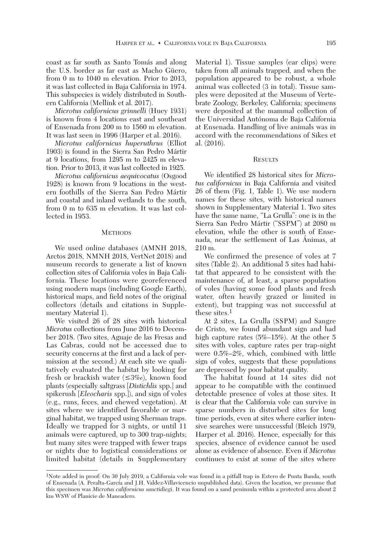coast as far south as Santo Tomás and along the U.S. border as far east as Macho Güero, from 0 m to 1040 m elevation. Prior to 2013, it was last collected in Baja California in 1974. This subspecies is widely distributed in Southern California (Mellink et al. 2017).

 *Microtus californicus grinnelli* (Huey 1931) is known from 4 locations east and southeast of Ensenada from 200 m to 1560 m elevation. It was last seen in 1996 (Harper et al. 2016).

 *Microtus californicus huperuthrus* (Elliot 1903) is found in the Sierra San Pedro Mártir at 9 locations, from 1295 m to 2425 m elevation. Prior to 2013, it was last collected in 1925.

 *Microtus californicus aequivocatus* (Osgood 1928) is known from 9 locations in the western foothills of the Sierra San Pedro Mártir and coastal and inland wetlands to the south, from 0 m to 635 m elevation. It was last collected in 1953.

#### **METHODS**

We used online databases (AMNH 2018, Arctos 2018, NMNH 2018, VertNet 2018) and museum records to generate a list of known collection sites of California voles in Baja California. These locations were georeferenced using modern maps (including Google Earth), historical maps, and field notes of the original collectors (details and citations in Supplementary Material 1).

 We visited 26 of 28 sites with historical *Microtus* collections from June 2016 to December 2018. (Two sites, Aguaje de las Fresas and Las Cabras, could not be accessed due to security concerns at the first and a lack of permission at the second.) At each site we qualitatively evaluated the habitat by looking for fresh or brackish water  $(\leq 3\%)$ , known food plants (especially saltgrass [*Distichlis* spp.] and spikerush [*Eleocharis* spp.]), and sign of voles (e.g., runs, feces, and chewed vegetation). At sites where we identified favorable or marginal habitat, we trapped using Sherman traps. Ideally we trapped for 3 nights, or until 11 animals were captured, up to 300 trap-nights; but many sites were trapped with fewer traps or nights due to logistical considerations or limited habitat (details in Supplementary

Material 1). Tissue samples (ear clips) were taken from all animals trapped, and when the population appeared to be robust, a whole animal was collected (3 in total). Tissue samples were deposited at the Museum of Vertebrate Zoology, Berkeley, California; specimens were deposited at the mammal collection of the Universidad Autónoma de Baja California at Ensenada. Handling of live animals was in accord with the recommendations of Sikes et al. (2016).

# **RESULTS**

 We identified 28 historical sites for *Microtus californicus* in Baja California and visited 26 of them (Fig. 1, Table 1). We use modern names for these sites, with historical names shown in Supplementary Material 1. Two sites have the same name, "La Grulla": one is in the Sierra San Pedro Mártir ("SSPM") at 2080 m elevation, while the other is south of Ensenada, near the settlement of Las Ánimas, at 210 m.

 We confirmed the presence of voles at 7 sites (Table 2). An additional 5 sites had habitat that appeared to be consistent with the maintenance of, at least, a sparse population of voles (having some food plants and fresh water, often heavily grazed or limited in extent), but trapping was not successful at these sites.<sup>1</sup>

 At 2 sites, La Grulla (SSPM) and Sangre de Cristo, we found abundant sign and had high capture rates (5%–15%). At the other 5 sites with voles, capture rates per trap-night were 0.5%–2%, which, combined with little sign of voles, suggests that these populations are depressed by poor habitat quality.

 The habitat found at 14 sites did not appear to be compatible with the continued detectable presence of voles at those sites. It is clear that the California vole can survive in sparse numbers in disturbed sites for long time periods, even at sites where earlier intensive searches were unsuccessful (Bleich 1979, Harper et al. 2016). Hence, especially for this species, absence of evidence cannot be used alone as evidence of absence. Even if *Microtus* continues to exist at some of the sites where

<sup>1</sup>Note added in proof: On 30 July 2019, a California vole was found in a pitfall trap in Estero de Punta Banda, south of Ensenada (A. Peralta-García and J.H. Valdez-Villavicencio unpublished data). Given the location, we presume that this specimen was *Microtus californicus sanctidiegi*. It was found on a sand peninsula within a protected area about 2 km WSW of Planicie de Maneadero.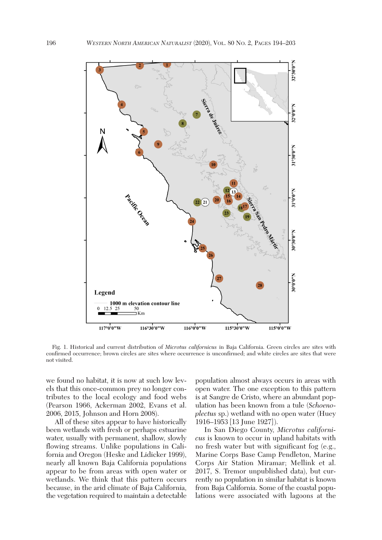

 Fig. 1. Historical and current distribution of *Microtus californicus* in Baja California. Green circles are sites with confirmed occurrence; brown circles are sites where occurrence is unconfirmed; and white circles are sites that were not visited.

we found no habitat, it is now at such low levels that this once-common prey no longer contributes to the local ecology and food webs (Pearson 1966, Ackerman 2002, Evans et al. 2006, 2015, Johnson and Horn 2008).

 All of these sites appear to have historically been wetlands with fresh or perhaps estuarine water, usually with permanent, shallow, slowly flowing streams. Unlike populations in California and Oregon (Heske and Lidicker 1999), nearly all known Baja California populations appear to be from areas with open water or wetlands. We think that this pattern occurs because, in the arid climate of Baja California, the vegetation required to maintain a detectable population almost always occurs in areas with open water. The one exception to this pattern is at Sangre de Cristo, where an abundant population has been known from a tule (*Schoenoplectus* sp.) wetland with no open water (Huey 1916–1953 [13 June 1927] ).

 In San Diego County, *Microtus californicus* is known to occur in upland habitats with no fresh water but with significant fog (e.g., Marine Corps Base Camp Pendleton, Marine Corps Air Station Miramar; Mellink et al. 2017, S. Tremor unpublished data), but currently no population in similar habitat is known from Baja California. Some of the coastal populations were associated with lagoons at the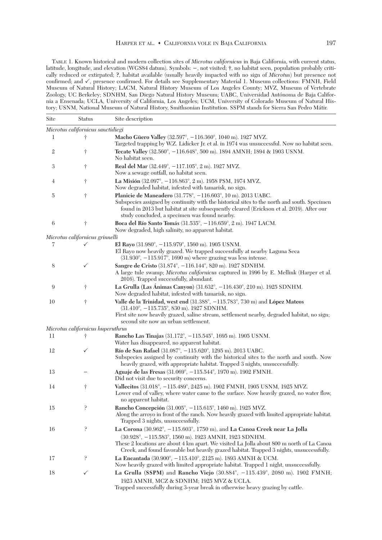TABLE 1. Known historical and modern collection sites of *Microtus californicus* in Baja California, with current status, latitude, longitude, and elevation (WGS84 datum). Symbols: **−**, not visited; **†**, no habitat seen, population probably critically reduced or extirpated; **?**, habitat available (usually heavily impacted with no sign of *Microtus*) but presence not confirmed; and  $\checkmark$ , presence confirmed. For details see Supplementary Material 1. Museum collections: FMNH, Field Museum of Natural History; LACM, Natural History Museum of Los Angeles County; MVZ, Museum of Vertebrate Zoology, UC Berkeley; SDNHM, San Diego Natural History Museum; UABC, Universidad Autónoma de Baja California a Ensenada; UCLA, University of California, Los Angeles; UCM, University of Colorado Museum of Natural History; USNM, National Museum of Natural History, Smithsonian Institution. SSPM stands for Sierra San Pedro Mátir.

| Site                                                | <b>Status</b>                     | Site description                                                                                                                                                                                                                                                                                                                                                            |  |  |
|-----------------------------------------------------|-----------------------------------|-----------------------------------------------------------------------------------------------------------------------------------------------------------------------------------------------------------------------------------------------------------------------------------------------------------------------------------------------------------------------------|--|--|
|                                                     | Microtus californicus sanctidiegi |                                                                                                                                                                                                                                                                                                                                                                             |  |  |
| 1                                                   | Ť                                 | Macho Güero Valley (32.597°, -116.360°, 1040 m). 1927 MVZ.<br>Targeted trapping by W.Z. Lidicker Jr. et al. in 1974 was unsuccessful. Now no habitat seen.                                                                                                                                                                                                                  |  |  |
| 2                                                   | Ť                                 | Tecate Valley (32.560°, -116.648°, 500 m). 1894 AMNH; 1894 & 1903 USNM.<br>No habitat seen.                                                                                                                                                                                                                                                                                 |  |  |
| 3                                                   | Ť                                 | Real del Mar (32.449°, -117.105°, 2 m). 1927 MVZ.<br>Now a sewage outfall, no habitat seen.                                                                                                                                                                                                                                                                                 |  |  |
| 4                                                   | t                                 | La Misión (32.097°, $-116.863$ °, 2 m). 1958 PSM, 1974 MVZ.<br>Now degraded habitat, infested with tamarisk, no sign.                                                                                                                                                                                                                                                       |  |  |
| 5                                                   | $\dagger$                         | Planicie de Maneadero (31.778°, -116.603°, 10 m). 2013 UABC.<br>Subspecies assigned by continuity with the historical sites to the north and south. Specimen<br>found in 2013 but habitat at site subsequently cleared (Erickson et al. 2019). After our<br>study concluded, a specimen was found nearby.                                                                   |  |  |
| 6                                                   | Ť                                 | Boca del Río Santo Tomás (31.535°, -116.659°, 2 m). 1947 LACM.<br>Now degraded, high salinity, no apparent habitat.                                                                                                                                                                                                                                                         |  |  |
|                                                     | Microtus californicus grinnelli   |                                                                                                                                                                                                                                                                                                                                                                             |  |  |
| 7                                                   | ✓                                 | El Rayo $(31.980^{\circ}, -115.979^{\circ}, 1560 \text{ m})$ . 1905 USNM.<br>El Rayo now heavily grazed. We trapped successfully at nearby Laguna Seca<br>$(31.930^{\circ}, -115.917^{\circ}, 1690 \text{ m})$ where grazing was less intense.                                                                                                                              |  |  |
| 8                                                   | ✓                                 | Sangre de Cristo (31.874°, -116.144°, 820 m). 1927 SDNHM.<br>A large tule swamp; Microtus californicus captured in 1996 by E. Mellink (Harper et al.<br>2016). Trapped successfully, abundant.                                                                                                                                                                              |  |  |
| 9                                                   | Ť                                 | La Grulla (Las Ánimas Canyon) (31.632°, -116.430°, 210 m). 1925 SDNHM.<br>Now degraded habitat, infested with tamarisk, no sign.                                                                                                                                                                                                                                            |  |  |
| 10                                                  | Ť                                 | Valle de la Trinidad, west end $(31.388^{\circ}, -115.783^{\circ}, 730 \text{ m})$ and López Mateos<br>$(31.410^{\circ}, -115.735^{\circ}, 830 \text{ m})$ . 1927 SDNHM.<br>First site now heavily grazed, saline stream, settlement nearby, degraded habitat, no sign;<br>second site now an urban settlement.                                                             |  |  |
|                                                     | Microtus californicus huperuthrus |                                                                                                                                                                                                                                                                                                                                                                             |  |  |
| 11                                                  | Ť                                 | Rancho Las Tinajas (31.172°, -115.545°, 1695 m). 1905 USNM.<br>Water has disappeared, no apparent habitat.                                                                                                                                                                                                                                                                  |  |  |
| 12                                                  | ✓                                 | Río de San Rafael (31.087°, -115.620°, 1295 m). 2013 UABC.<br>Subspecies assigned by continuity with the historical sites to the north and south. Now<br>heavily grazed, with appropriate habitat. Trapped 3 nights, unsuccessfully.                                                                                                                                        |  |  |
| 13                                                  |                                   | Aguaje de las Fresas (31.069°, -115.544°, 1970 m). 1902 FMNH.<br>Did not visit due to security concerns.                                                                                                                                                                                                                                                                    |  |  |
| 14                                                  | Ť                                 | Vallecitos (31.018°, -115.489°, 2425 m). 1902 FMNH, 1905 USNM, 1925 MVZ.<br>Lower end of valley, where water came to the surface. Now heavily grazed, no water flow,<br>no apparent habitat.                                                                                                                                                                                |  |  |
| 15                                                  | q.                                | Rancho Concepción (31.005°, -115.615°, 1460 m). 1925 MVZ.<br>Along the arroyo in front of the ranch. Now heavily grazed with limited appropriate habitat.<br>Trapped 3 nights, unsuccessfully.                                                                                                                                                                              |  |  |
| 16                                                  | ç                                 | La Corona $(30.962^{\circ}, -115.603^{\circ}, 1750 \text{ m})$ , and La Canoa Creek near La Jolla<br>$(30.928^{\circ}, -115.583^{\circ}, 1560 \text{ m})$ . 1923 AMNH, 1923 SDNHM.<br>These 2 locations are about 4 km apart. We visited La Jolla about 800 m north of La Canoa<br>Creek, and found favorable but heavily grazed habitat. Trapped 3 nights, unsuccessfully. |  |  |
| 17                                                  | ò.                                | La Encantada (30.900°, -115.410°, 2125 m). 1893 AMNH & UCM.<br>Now heavily grazed with limited appropriate habitat. Trapped 1 night, unsuccessfully.                                                                                                                                                                                                                        |  |  |
| 18<br>✓<br>1923 AMNH, MCZ & SDNHM; 1925 MVZ & UCLA. |                                   | La Grulla (SSPM) and Rancho Viejo $(30.884^{\circ}, -115.439^{\circ}, 2080 \text{ m})$ . 1902 FMNH;<br>Trapped successfully during 3-year break in otherwise heavy grazing by cattle.                                                                                                                                                                                       |  |  |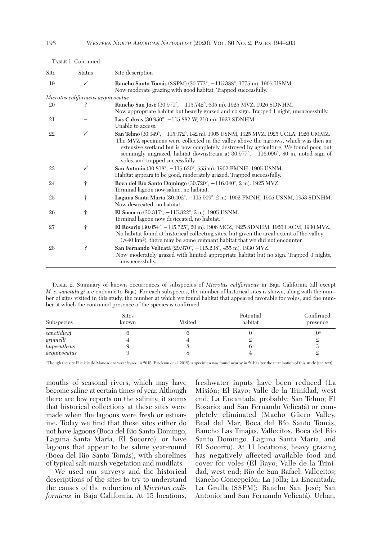| Site | <b>Status</b>                      | Site description                                                                                                                                                                                                                                                                                                                                                                                 |  |  |
|------|------------------------------------|--------------------------------------------------------------------------------------------------------------------------------------------------------------------------------------------------------------------------------------------------------------------------------------------------------------------------------------------------------------------------------------------------|--|--|
| 19   | ✓                                  | Rancho Santo Tomás (SSPM) (30.773°, -115.388°, 1775 m). 1905 USNM.<br>Now moderate grazing with good habitat. Trapped successfully.                                                                                                                                                                                                                                                              |  |  |
|      | Microtus californicus aequivocatus |                                                                                                                                                                                                                                                                                                                                                                                                  |  |  |
| 20   |                                    | Rancho San José (30.971°, -115.742°, 635 m). 1925 MVZ, 1926 SDNHM.<br>Now appropriate habitat but heavily grazed and no sign. Trapped 1 night, unsuccessfully.                                                                                                                                                                                                                                   |  |  |
| 21   |                                    | Las Cabras (30.950°, -115.882 W, 210 m). 1923 SDNHM.<br>Unable to access.                                                                                                                                                                                                                                                                                                                        |  |  |
| 22   | ✓                                  | San Telmo (30.949°, -115.972°, 142 m). 1905 USNM, 1925 MVZ, 1925 UCLA, 1926 UMMZ.<br>The MVZ specimens were collected in the valley above the narrows, which was then an<br>extensive wetland but is now completely destroyed by agriculture. We found poor, but<br>seemingly ungrazed, habitat downstream at $30.97\%$ , $-116.096\%$ , 80 m, noted sign of<br>voles, and trapped successfully. |  |  |
| 23   | ✓                                  | San Antonio (30.818°, -115.630°, 555 m). 1902 FMNH, 1905 USNM.<br>Habitat appears to be good, moderately grazed. Trapped successfully.                                                                                                                                                                                                                                                           |  |  |
| 24   | t                                  | Boca del Río Santo Domingo $(30.720^{\circ}, -116.040^{\circ}, 2 \text{ m})$ . 1925 MVZ.<br>Terminal lagoon now saline, no habitat.                                                                                                                                                                                                                                                              |  |  |
| 25   | Ť                                  | Laguna Santa María (30.402°, -115.909°, 2 m). 1902 FMNH, 1905 USNM, 1953 SDNHM.<br>Now desiccated, no habitat.                                                                                                                                                                                                                                                                                   |  |  |
| 26   | t                                  | El Socorro (30.317°, -115.822°, 2 m). 1905 USNM.<br>Terminal lagoon now desiccated, no habitat.                                                                                                                                                                                                                                                                                                  |  |  |
| 27   | $\dagger$                          | El Rosario (30.054°, -115.725°, 20 m). 1906 MCZ, 1925 SDNHM, 1926 LACM, 1930 MVZ.<br>No habitat found at historical collecting sites, but given the areal extent of the valley<br>$($ >40 km <sup>2</sup> ), there may be some remnant habitat that we did not encounter.                                                                                                                        |  |  |
| 28   | P                                  | San Fernando Velicatá (29.970°, -115.238°, 455 m). 1930 MVZ.<br>Now moderately grazed with limited appropriate habitat but no sign. Trapped 3 nights,<br>unsuccessfully.                                                                                                                                                                                                                         |  |  |

TABLE 1. Continued.

 TABLE 2. Summary of known occurrences of subspecies of *Microtus californicus* in Baja California (all except *M. c. sanctidiegi* are endemic to Baja). For each subspecies, the number of historical sites is shown, along with the number of sites visited in this study, the number at which we found habitat that appeared favorable for voles, and the number at which the continued presence of the species is confirmed.

| Subspecies   | <b>Sites</b><br>known | Visited | Potential<br>habitat | Confirmed<br>presence |
|--------------|-----------------------|---------|----------------------|-----------------------|
| sanctidiegi  |                       |         |                      | $\theta$              |
| grinnelli    |                       |         |                      |                       |
| huperuthrus  |                       |         |                      | د،                    |
| aequivocatus |                       |         |                      |                       |

aThough the site Planicie de Maneadero was cleared in 2015 (Erickson et al. 2019), a specimen was found nearby in 2019 after the termination of this study (see text).

mouths of seasonal rivers, which may have become saline at certain times of year. Although there are few reports on the salinity, it seems that historical collections at these sites were made when the lagoons were fresh or estuarine. Today we find that these sites either do not have lagoons (Boca del Río Santo Domingo, Laguna Santa María, El Socorro), or have lagoons that appear to be saline year-round (Boca del Río Santo Tomás), with shorelines of typical salt-marsh vegetation and mudflats.

 We used our surveys and the historical descriptions of the sites to try to understand the causes of the reduction of *Microtus californicus* in Baja California. At 15 locations,

freshwater inputs have been reduced (La Misión; El Rayo; Valle de la Trinidad, west end; La Encantada, probably; San Telmo; El Rosario; and San Fernando Velicatá) or completely eliminated (Macho Güero Valley, Real del Mar, Boca del Río Santo Tomás, Rancho Las Tinajas, Vallecitos, Boca del Río Santo Domingo, Laguna Santa María, and El Socorro). At 11 locations, heavy grazing has negatively affected available food and cover for voles (El Rayo; Valle de la Trini dad, west end; Río de San Rafael; Vallecitos; Rancho Concepción; La Jolla; La Encantada; La Grulla (SSPM); Rancho San José; San Antonio; and San Fernando Velicatá). Urban,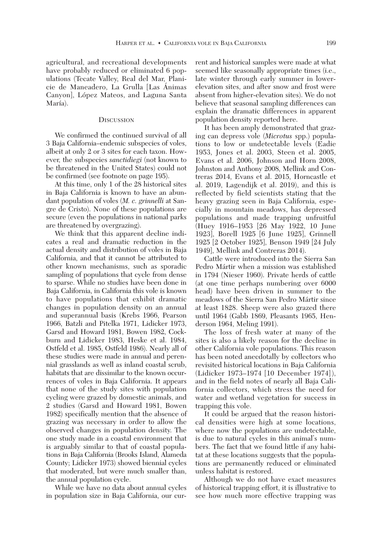agricultural, and recreational developments have probably reduced or eliminated 6 populations (Tecate Valley, Real del Mar, Planicie de Maneadero, La Grulla [Las Ánimas Canyon], López Mateos, and Laguna Santa María).

## **DISCUSSION**

 We confirmed the continued survival of all 3 Baja California–endemic subspecies of voles, albeit at only 2 or 3 sites for each taxon. However, the subspecies *sanctidiegi* (not known to be threatened in the United States) could not be confirmed (see footnote on page 195).

 At this time, only 1 of the 28 historical sites in Baja California is known to have an abundant population of voles (*M. c. grinnelli* at Sangre de Cristo). None of these populations are secure (even the populations in national parks are threatened by overgrazing).

 We think that this apparent decline indicates a real and dramatic reduction in the actual density and distribution of voles in Baja California, and that it cannot be attributed to other known mechanisms, such as sporadic sampling of populations that cycle from dense to sparse. While no studies have been done in Baja California, in California this vole is known to have populations that exhibit dramatic changes in population density on an annual and superannual basis (Krebs 1966, Pearson 1966, Batzli and Pitelka 1971, Lidicker 1973, Garsd and Howard 1981, Bowen 1982, Cockburn and Lidicker 1983, Heske et al. 1984, Ostfeld et al. 1985, Ostfeld 1986). Nearly all of these studies were made in annual and perennial grasslands as well as inland coastal scrub, habitats that are dissimilar to the known occurrences of voles in Baja California. It appears that none of the study sites with population cycling were grazed by domestic animals, and 2 studies (Garsd and Howard 1981, Bowen 1982) specifically mention that the absence of grazing was necessary in order to allow the observed changes in population density. The one study made in a coastal environment that is arguably similar to that of coastal populations in Baja California (Brooks Island, Alameda County; Lidicker 1973) showed biennial cycles that moderated, but were much smaller than, the annual population cycle.

 While we have no data about annual cycles in population size in Baja California, our cur-

rent and historical samples were made at what seemed like seasonally appropriate times (i.e., late winter through early summer in lowerelevation sites, and after snow and frost were absent from higher-elevation sites). We do not believe that seasonal sampling differences can explain the dramatic differences in apparent population density reported here.

 It has been amply demonstrated that grazing can depress vole (*Microtus* spp.) populations to low or undetectable levels (Eadie 1953, Jones et al. 2003, Steen et al. 2005, Evans et al. 2006, Johnson and Horn 2008, Johnston and Anthony 2008, Mellink and Contreras 2014, Evans et al. 2015, Horncastle et al. 2019, Lagendijk et al. 2019), and this is reflected by field scientists stating that the heavy grazing seen in Baja California, especially in mountain meadows, has depressed populations and made trapping unfruitful (Huey 1916–1953 [26 May 1922, 10 June 1923], Borell 1925 [6 June 1925], Grinnell 1925 [2 October 1925], Benson 1949 [24 July 1949], Mellink and Contreras 2014).

 Cattle were introduced into the Sierra San Pedro Mártir when a mission was established in 1794 (Nieser 1960). Private herds of cattle (at one time perhaps numbering over 6000 head) have been driven in summer to the meadows of the Sierra San Pedro Mártir since at least 1828. Sheep were also grazed there until 1964 (Gabb 1869, Pleasants 1965, Henderson 1964, Meling 1991).

 The loss of fresh water at many of the sites is also a likely reason for the decline in other California vole populations. This reason has been noted anecdotally by collectors who revisited historical locations in Baja California (Lidicker 1973–1974 [10 December 1974] ), and in the field notes of nearly all Baja California collectors, which stress the need for water and wetland vegetation for success in trapping this vole.

 It could be argued that the reason historical densities were high at some locations, where now the populations are undetectable, is due to natural cycles in this animal's numbers. The fact that we found little if any habitat at these locations suggests that the populations are permanently reduced or eliminated unless habitat is restored.

 Although we do not have exact measures of historical trapping effort, it is illustrative to see how much more effective trapping was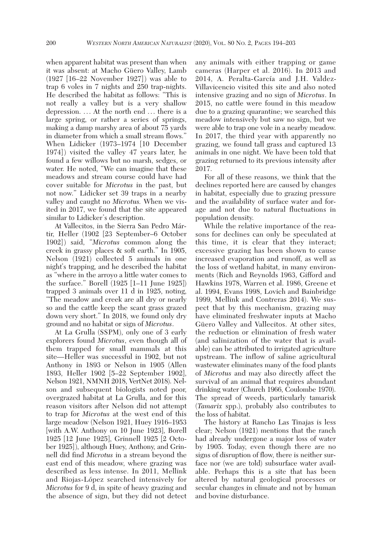when apparent habitat was present than when it was absent: at Macho Güero Valley, Lamb (1927 [16–22 November 1927] ) was able to trap 6 voles in 7 nights and 250 trap-nights. He described the habitat as follows: "This is not really a valley but is a very shallow depression. ... At the north end ... there is a large spring, or rather a series of springs, making a damp marshy area of about 75 yards in diameter from which a small stream flows." When Lidicker (1973–1974 [10 December 1974] ) visited the valley 47 years later, he found a few willows but no marsh, sedges, or water. He noted, "We can imagine that these meadows and stream course could have had cover suitable for *Microtus* in the past, but not now." Lidicker set 39 traps in a nearby valley and caught no *Microtus.* When we visited in 2017, we found that the site appeared similar to Lidicker's description.

 At Vallecitos, in the Sierra San Pedro Mártir, Heller (1902 [23 September–6 October 1902] ) said, "*Microtus* common along the creek in grassy places & soft earth." In 1905, Nelson (1921) collected 5 animals in one night's trapping, and he described the habitat as "where in the arroyo a little water comes to the surface." Borell (1925 [1–11 June 1925]) trapped 3 animals over 11 d in 1925, noting, "The meadow and creek are all dry or nearly so and the cattle keep the scant grass grazed down very short." In 2018, we found only dry ground and no habitat or sign of *Microtus*.

 At La Grulla (SSPM), only one of 3 early explorers found *Microtus*, even though all of them trapped for small mammals at this site—Heller was successful in 1902, but not Anthony in 1893 or Nelson in 1905 (Allen 1893, Heller 1902 [5–22 September 1902], Nelson 1921, NMNH 2018, VertNet 2018). Nelson and subsequent biologists noted poor, overgrazed habitat at La Grulla, and for this reason visitors after Nelson did not attempt to trap for *Microtus* at the west end of this large meadow (Nelson 1921, Huey 1916–1953 [with A.W. Anthony on 10 June 1923], Borell 1925 [12 June 1925], Grinnell 1925 [2 October 1925] ), although Huey, Anthony, and Grinnell did find *Microtus* in a stream beyond the east end of this meadow, where grazing was described as less intense. In 2011, Mellink and Riojas-López searched intensively for *Microtus* for 9 d, in spite of heavy grazing and the absence of sign, but they did not detect any animals with either trapping or game cameras (Harper et al. 2016). In 2013 and 2014, A. Peralta-García and J.H. Valdez-Villavicencio visited this site and also noted intensive grazing and no sign of *Microtus*. In 2015, no cattle were found in this meadow due to a grazing quarantine; we searched this meadow intensively but saw no sign, but we were able to trap one vole in a nearby meadow. In 2017, the third year with apparently no grazing, we found tall grass and captured 13 animals in one night. We have been told that grazing returned to its previous intensity after 2017.

 For all of these reasons, we think that the declines reported here are caused by changes in habitat, especially due to grazing pressure and the availability of surface water and forage and not due to natural fluctuations in population density.

 While the relative importance of the reasons for declines can only be speculated at this time, it is clear that they interact; excessive grazing has been shown to cause increased evaporation and runoff, as well as the loss of wetland habitat, in many environments (Rich and Reynolds 1963, Gifford and Hawkins 1978, Warren et al. 1986, Greene et al. 1994, Evans 1998, Lovich and Bainbridge 1999, Mellink and Contreras 2014). We suspect that by this mechanism, grazing may have eliminated freshwater inputs at Macho Güero Valley and Vallecitos. At other sites, the reduction or elimination of fresh water (and salinization of the water that is available) can be attributed to irrigated agriculture upstream. The inflow of saline agricultural wastewater eliminates many of the food plants of *Microtus* and may also directly affect the survival of an animal that requires abundant drinking water (Church 1966, Coulombe 1970). The spread of weeds, particularly tamarisk (*Tamarix* spp.), probably also contributes to the loss of habitat.

 The history at Rancho Las Tinajas is less clear; Nelson (1921) mentions that the ranch had already undergone a major loss of water by 1905. Today, even though there are no signs of disruption of flow, there is neither surface nor (we are told) subsurface water available. Perhaps this is a site that has been altered by natural geological processes or secular changes in climate and not by human and bovine disturbance.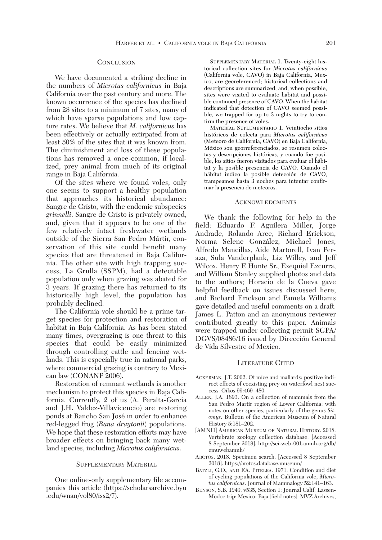# **CONCLUSION**

 We have documented a striking decline in the numbers of *Microtus californicus* in Baja California over the past century and more. The known occurrence of the species has declined from 28 sites to a minimum of 7 sites, many of which have sparse populations and low capture rates. We believe that *M. californicus* has been effectively or actually extirpated from at least 50% of the sites that it was known from. The diminishment and loss of these populations has removed a once-common, if localized, prey animal from much of its original range in Baja California.

 Of the sites where we found voles, only one seems to support a healthy population that approaches its historical abundance: Sangre de Cristo, with the endemic subspecies *grinnelli*. Sangre de Cristo is privately owned, and, given that it appears to be one of the few relatively intact freshwater wetlands outside of the Sierra San Pedro Mártir, conservation of this site could benefit many species that are threatened in Baja California. The other site with high trapping success, La Grulla (SSPM), had a detectable population only when grazing was abated for 3 years. If grazing there has returned to its historically high level, the population has probably declined.

 The California vole should be a prime target species for protection and restoration of habitat in Baja California. As has been stated many times, overgrazing is one threat to this species that could be easily minimized through controlling cattle and fencing wetlands. This is especially true in national parks, where commercial grazing is contrary to Mexican law (CONANP 2006).

 Restoration of remnant wetlands is another mechanism to protect this species in Baja California. Currently, 2 of us (A. Peralta-García and J.H. Valdez-Villavicencio) are restoring ponds at Rancho San José in order to enhance red-legged frog (*Rana draytonii*) populations. We hope that these restoration efforts may have broader effects on bringing back many wetland species, including *Microtus californicus*.

## SUPPLEMENTARY MATERIAL

 One online-only supplementary file accompanies this article (https://scholarsarchive.byu .edu/wnan/vol80/iss2/7).

SUPPLEMENTARY MATERIAL 1. Twenty-eight historical collection sites for *Microtus californicus* (California vole, CAVO) in Baja California, Mexico, are georeferenced; historical collections and descriptions are summarized; and, when possible, sites were visited to evaluate habitat and possible continued presence of CAVO. When the habitat indicated that detection of CAVO seemed possible, we trapped for up to 3 nights to try to confirm the presence of voles.

MATERIAL SUPLEMENTARIO 1. Veintiocho sitios históricos de colecta para *Microtus californicus* (Meteoro de California, CAVO) en Baja California, México son georreferenciados, se resumen colectas y descripciones históricas, y cuando fue posible, los sitios fueron visitados para evaluar el hábitat y la posible presencia de CAVO. Cuando el hábitat indico la posible detección de CAVO, trampeamos hasta 3 noches para intentar confirmar la presencia de meteoros.

## ACKNOWLEDGMENTS

 We thank the following for help in the field: Eduardo F. Aguilera Miller, Jorge Andrade, Rolando Arce, Richard Erickson, Norma Selene González, Michael Jones, Alfredo Mancillas, Aide Martorell, Ivan Peraza, Sula Vanderplank, Liz Willey, and Jeff Wilcox. Henry F. Hunte Sr., Exequiel Ezcurra, and William Stanley supplied photos and data to the authors; Horacio de la Cueva gave helpful feedback on issues discussed here; and Richard Erickson and Pamela Williams gave detailed and useful comments on a draft. James L. Patton and an anonymous reviewer contributed greatly to this paper. Animals were trapped under collecting permit SGPA/ DGVS/08486/16 issued by Dirección General de Vida Silvestre of Mexico.

#### LITERATURE CITED

- ACKERMAN, J.T. 2002. Of mice and mallards: positive indirect effects of coexisting prey on waterfowl nest success. Oikos 99:469–480.
- ALLEN, J.A. 1893. On a collection of mammals from the San Pedro Martir region of Lower California: with notes on other species, particularly of the genus *Sitomys*. Bulletin of the American Museum of Natural History 5:181–202.
- [AMNH] AMERICAN MUSEUM OF NATURAL HISTORY. 2018. Vertebrate zoology collection database. [Accessed 8 September 2018]. http://sci-web-001.amnh.org/db/ emuwebamnh/
- ARCTOS. 2018. Specimen search. [Accessed 8 September 2018]. https://arctos.database.museum/
- BATZLI, G.O., AND F.A. PITELKA. 1971. Condition and diet of cycling populations of the California vole, *Microtus californicus*. Journal of Mammalogy 52:141–163.
- BENSON, S.B. 1949. v535, Section 1: Journal Calif: Lassen-Modoc trip; Mexico: Baja [field notes]. MVZ Archives,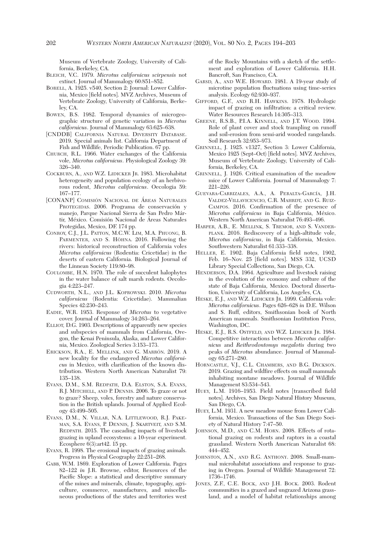Museum of Vertebrate Zoology, University of California, Berkeley, CA.

- BLEICH, V.C. 1979. *Microtus californicus scirpensis* not extinct. Journal of Mammalogy 60:851–852.
- BORELL, A. 1925. v540, Section 2: Journal: Lower California, Mexico [field notes]. MVZ Archives, Museum of Vertebrate Zoology, University of California, Berkeley, CA.
- BOWEN, B.S. 1982. Temporal dynamics of microgeographic structure of genetic variation in *Microtus californicus*. Journal of Mammalogy 63:625–638.
- [CNDDB] CALIFORNIA NATURAL DIVERSITY DATABASE. 2019. Special animals list. California Department of Fish and Wildlife, Periodic Publication. 67 pp.
- CHURCH, R.L. 1966. Water exchanges of the California vole, *Microtus californicus*. Physiological Zoology 39: 326–340.
- COCKBURN, A., AND W.Z. LIDICKER JR. 1983. Microhabitat heterogeneity and population ecology of an herbivorous rodent, *Microtus californicus*. Oecologia 59: 167–177.
- [CONANP] COMISIÓN NACIONAL DE ÁREAS NATURALES PROTEGIDAS. 2006. Programa de conservación y manejo, Parque Nacional Sierra de San Pedro Mártir, México. Comisión Nacional de Áreas Naturales Protegidas, Mexico, DF. 174 pp.
- CONROY, C.J., J.L. PATTON, M.C.W. LIM, M.A. PHUONG, B. PARMENTER, AND S. HÖHNA. 2016. Following the rivers: historical reconstruction of California voles *Microtus californicus* (Rodentia: Cricetidae) in the deserts of eastern California. Biological Journal of the Linnean Society 119:80–98.
- COULOMBE, H.N. 1970. The role of succulent halophytes in the water balance of salt marsh rodents. Oecologia 4:223–247.
- CUDWORTH, N.L., AND J.L. KOPROWSKI. 2010. *Microtus californicus* (Rodentia: Cricetidae). Mammalian Species 42:230–243.
- EADIE, W.R. 1953. Response of *Microtus* to vegetative cover. Journal of Mammalogy 34:263–264.
- ELLIOT, D.G. 1903. Descriptions of apparently new species and subspecies of mammals from California, Oregon, the Kenai Peninsula, Alaska, and Lower California, Mexico. Zoological Series 3:153–173.
- ERICKSON, R.A., E. MELLINK, AND G. MARRÓN. 2019. A new locality for the endangered *Microtus californicus* in Mexico, with clarification of the known distribution. Western North American Naturalist 79: 135–138.
- EVANS, D.M., S.M. REDPATH, D.A. ELSTON, S.A. EVANS, R.J. MITCHELL, AND P. DENNIS. 2006. To graze or not to graze? Sheep, voles, forestry and nature conservation in the British uplands. Journal of Applied Ecology 43:499–505.
- EVANS, D.M., N. VILLAR, N.A. LITTLEWOOD, R.J. PAKE-MAN, S.A. EVANS, P. DENNIS, J. SKARTVEIT, AND S.M. REDPATH. 2015. The cascading impacts of livestock grazing in upland ecosystems: a 10-year experiment. Ecosphere 6(3):art42. 15 pp.
- EVANS, R. 1998. The erosional impacts of grazing animals. Progress in Physical Geography 22:251–268.
- GABB, W.M. 1869. Exploration of Lower California. Pages 82–122 *in* J.R. Browne, editor, Resources of the Pacific Slope: a statistical and descriptive summary of the mines and minerals, climate, topography, agriculture, commerce, manufactures, and miscellaneous productions of the states and territories west

of the Rocky Mountains with a sketch of the settlement and exploration of Lower California. H.H. Bancroft, San Francisco, CA.

- GARSD, A., AND W.E. HOWARD. 1981. A 19-year study of microtine population fluctuations using time-series analysis. Ecology 62:930–937.
- GIFFORD, G.F., AND R.H. HAWKINS. 1978. Hydrologic impact of grazing on infiltration: a critical review. Water Resources Research 14:305–313.
- GREENE, R.S.B., P.I.A. KINNELL, AND J.T. WOOD. 1994. Role of plant cover and stock trampling on runoff and soil-erosion from semi-arid wooded rangelands. Soil Research 32:953–973.
- GRINNELL, J. 1925. v1327, Section 3: Lower California, Mexico 1925 (Sept–Oct) [field notes]. MVZ Archives, Museum of Vertebrate Zoology, University of California, Berkeley, CA.
- GRINNELL, J. 1926. Critical examination of the meadow mice of Lower California. Journal of Mammalogy 7: 221–226.
- GUEVARA-CARRIZALES, A.A., A. PERALTA-GARCÍA, J.H. VALDEZ-VILLAVICENCIO, C.R. MAHRDT, AND G. RUIZ-CAMPOS. 2016. Confirmation of the presence of *Microtus californicus* in Baja California, México. Western North American Naturalist 76:493–496.
- HARPER, A.B., E. MELLINK, S. TREMOR, AND S. VANDER-PLANK. 2016. Rediscovery of a high-altitude vole, *Microtus californicus*, in Baja California, Mexico. Southwestern Naturalist 61:333–338.
- HELLER, E. 1902. Baja California field notes, 1902, Feb. 16–Nov. 25 [field notes]. MSS 332, UCSD Library Special Collections, San Diego, CA.
- HENDERSON, D.A. 1964. Agriculture and livestock raising in the evolution of the economy and culture of the state of Baja California, Mexico. Doctoral dissertation, University of California, Los Angeles, CA.
- HESKE, E.J., AND W.Z. LIDICKER JR. 1999. California vole: *Microtus californicus*. Pages 626–628 *in* D.E. Wilson and S. Ruff, editors, Smithsonian book of North American mammals. Smithsonian Institution Press, Washington, DC.
- HESKE, E.J., R.S. OSTFELD, AND W.Z. LIDICKER JR. 1984. Competitive interactions between *Microtus californicus* and *Reithrodontomys megalotis* during two peaks of *Microtus* abundance. Journal of Mammalogy 65:271–280.
- HORNCASTLE, V.J., C.L. CHAMBERS, AND B.G. DICKSON. 2019. Grazing and wildfire effects on small mammals inhabiting montane meadows. Journal of Wildlife Management 83:534–543.
- HUEY, L.M. 1916–1953. Field notes [transcribed field notes]. Archives, San Diego Natural History Museum, San Diego, CA.
- HUEY, L.M. 1931. A new meadow mouse from Lower California, Mexico. Transactions of the San Diego Society of Natural History 7:47–50.
- JOHNSON, M.D., AND C.M. HORN. 2008. Effects of rotational grazing on rodents and raptors in a coastal grassland. Western North American Naturalist 68: 444–452.
- JOHNSTON, A.N., AND R.G. ANTHONY. 2008. Small-mammal microhabitat associations and response to grazing in Oregon. Journal of Wildlife Management 72: 1736–1746.
- JONES, Z.F., C.E. BOCK, AND J.H. BOCK. 2003. Rodent communities in a grazed and ungrazed Arizona grassland, and a model of habitat relationships among